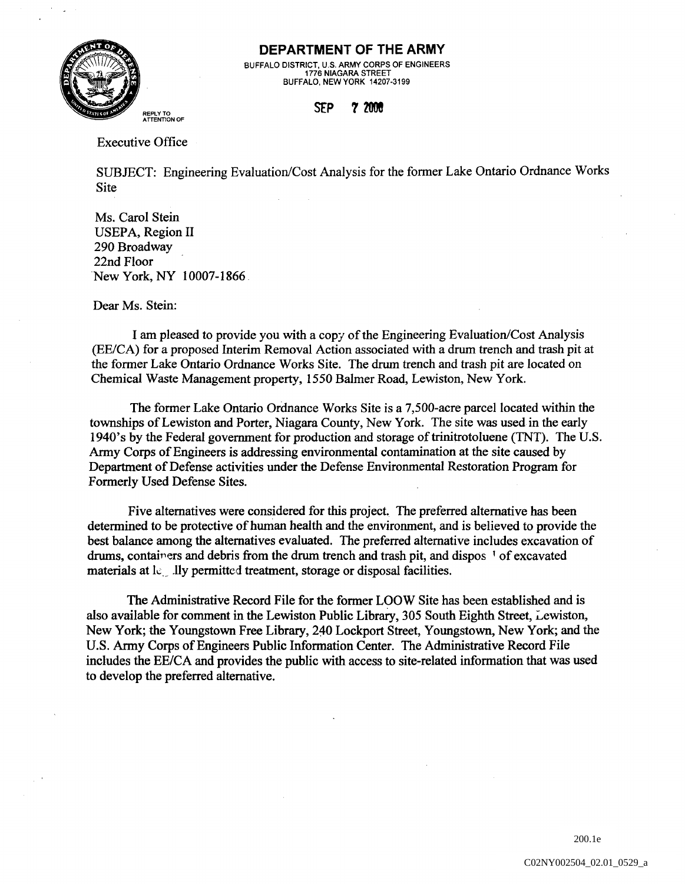

## DEPARTMENT OF THE ARMY

BUFFALO DISTRICT, U.S. ARMY CORPS OF ENGINEERS 1776 NIAGARA STREET BUFFALO, NEW YORK 14207-3199

## **SfP 7 200!**

Executive Office

SUBJECT: Engineering Evaluation/Cost Analysis for the fonner Lake Ontario Ordnance Works Site

Ms. Carol Stein USEPA, Region II 290 Broadway 22nd Floor New York, NY 10007-1866

Dear Ms. Stein:

I am pleased to provide you with a copy of the Engineering Evaluation/Cost Analysis (EE/CA) for a proposed Interim Removal Action associated with a drum trench and trash pit at the fonner Lake Ontario Ordnance Works Site. The drum trench and trash pit are located on Chemical Waste Management property, 1550 Balmer Road, Lewiston, New York.

The fonner Lake Ontario Ordnance Works Site is a 7,500-acre parcel located within the townships of Lewiston and Porter, Niagara County, New York. The site was used in the early 1940's by the Federal government for production and storage of trinitrotoluene (TNT). The U.S. Anny Corps of Engineers is addressing environmental contamination at the site caused by Department of Defense activities under the Defense Environmental Restoration Program for Fonnerly Used Defense Sites.

Five alternatives were considered for this project. The preferred alternative has been detennined to be protective of human health and the environment, and is believed to provide the best balance among the alternatives evaluated. The preferred alternative includes excavation of drums, containers and debris from the drum trench and trash pit, and dispos 1 of excavated materials at lequily permitted treatment, storage or disposal facilities.

The Administrative Record File for the fonner LOOW Site has been established and is also available for comment in the Lewiston Public Library, 305 South Eighth Street, Lewiston, New York; the Youngstown Free Library, 240 Lockport Street, Youngstown, New York; and the U.S. Anny Corps of Engineers Public Infonnation Center. The Administrative Record File includes the EE/CA and provides the public with access to site-related information that was used to develop the preferred alternative.